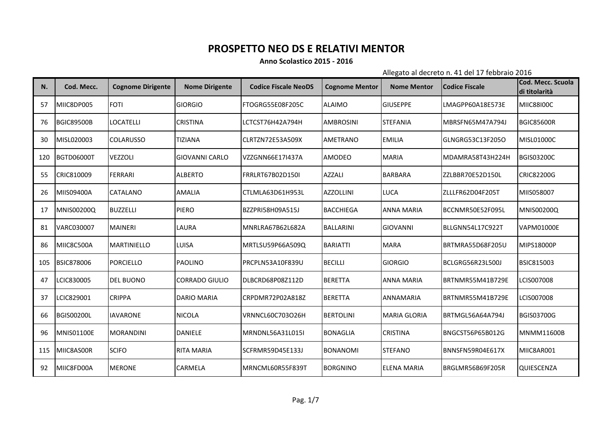## **PROSPETTO NEO DS E RELATIVI MENTOR**

## **Anno Scolastico 2015 - 2016**

Allegato al decreto n. 41 del 17 febbraio 2016

| N.  | Cod. Mecc.        | <b>Cognome Dirigente</b> | <b>Nome Dirigente</b> | <b>Codice Fiscale NeoDS</b> | <b>Cognome Mentor</b> | <b>Nome Mentor</b>  | <b>Codice Fiscale</b> | Cod. Mecc. Scuola<br>di titolarità |
|-----|-------------------|--------------------------|-----------------------|-----------------------------|-----------------------|---------------------|-----------------------|------------------------------------|
| 57  | MIIC8DP005        | <b>FOTI</b>              | <b>GIORGIO</b>        | FTOGRG55E08F205C            | <b>ALAIMO</b>         | <b>GIUSEPPE</b>     | LMAGPP60A18E573E      | <b>MIIC88I00C</b>                  |
| 76  | <b>BGIC89500B</b> | <b>LOCATELLI</b>         | <b>CRISTINA</b>       | LCTCST76H42A794H            | <b>AMBROSINI</b>      | <b>STEFANIA</b>     | MBRSFN65M47A794J      | <b>BGIC85600R</b>                  |
| 30  | MISL020003        | <b>COLARUSSO</b>         | <b>TIZIANA</b>        | CLRTZN72E53A509X            | <b>AMETRANO</b>       | <b>EMILIA</b>       | lGLNGRG53C13F205O     | <b>MISL01000C</b>                  |
| 120 | <b>BGTD06000T</b> | <b>VEZZOLI</b>           | <b>GIOVANNI CARLO</b> | VZZGNN66E17I437A            | AMODEO                | <b>MARIA</b>        | MDAMRA58T43H224H      | <b>BGIS03200C</b>                  |
| 55  | CRIC810009        | <b>FERRARI</b>           | <b>ALBERTO</b>        | <b>FRRLRT67B02D150I</b>     | <b>AZZALI</b>         | <b>BARBARA</b>      | ZZLBBR70E52D150L      | <b>CRIC82200G</b>                  |
| 26  | MIIS09400A        | <b>CATALANO</b>          | <b>AMALIA</b>         | CTLMLA63D61H953L            | <b>AZZOLLINI</b>      | <b>LUCA</b>         | ZLLLFR62D04F205T      | MIIS058007                         |
| 17  | <b>MNIS00200Q</b> | <b>BUZZELLI</b>          | <b>PIERO</b>          | BZZPRI58H09A515J            | <b>BACCHIEGA</b>      | <b>ANNA MARIA</b>   | BCCNMR50E52F095L      | <b>MNIS00200Q</b>                  |
| 81  | VARC030007        | <b>MAINERI</b>           | LAURA                 | MNRLRA67B62L682A            | <b>BALLARINI</b>      | <b>GIOVANNI</b>     | BLLGNN54L17C922T      | <b>VAPM01000E</b>                  |
| 86  | MIIC8C500A        | <b>MARTINIELLO</b>       | LUISA                 | MRTLSU59P66A509Q            | <b>BARIATTI</b>       | <b>MARA</b>         | BRTMRA55D68F205U      | <b>MIPS18000P</b>                  |
| 105 | <b>BSIC878006</b> | <b>PORCIELLO</b>         | <b>PAOLINO</b>        | PRCPLN53A10F839U            | <b>BECILLI</b>        | <b>GIORGIO</b>      | BCLGRG56R23L500J      | <b>BSIC815003</b>                  |
| 47  | LCIC830005        | <b>DEL BUONO</b>         | CORRADO GIULIO        | DLBCRD68P08Z112D            | <b>BERETTA</b>        | <b>ANNA MARIA</b>   | BRTNMR55M41B729E      | LCIS007008                         |
| 37  | LCIC829001        | <b>CRIPPA</b>            | <b>DARIO MARIA</b>    | CRPDMR72P02A818Z            | <b>BERETTA</b>        | ANNAMARIA           | BRTNMR55M41B729E      | LCIS007008                         |
| 66  | <b>BGIS00200L</b> | <b>IAVARONE</b>          | <b>NICOLA</b>         | VRNNCL60C703O26H            | <b>BERTOLINI</b>      | <b>MARIA GLORIA</b> | BRTMGL56A64A794J      | <b>BGIS03700G</b>                  |
| 96  | <b>MNIS01100E</b> | <b>MORANDINI</b>         | <b>DANIELE</b>        | MRNDNL56A31L015I            | <b>BONAGLIA</b>       | <b>CRISTINA</b>     | BNGCST56P65B012G      | <b>MNMM11600B</b>                  |
| 115 | MIIC8AS00R        | <b>SCIFO</b>             | <b>RITA MARIA</b>     | SCFRMR59D45E133J            | <b>BONANOMI</b>       | <b>STEFANO</b>      | BNNSFN59R04E617X      | MIIC8AR001                         |
| 92  | MIIC8FD00A        | <b>MERONE</b>            | CARMELA               | MRNCML60R55F839T            | <b>BORGNINO</b>       | <b>ELENA MARIA</b>  | BRGLMR56B69F205R      | QUIESCENZA                         |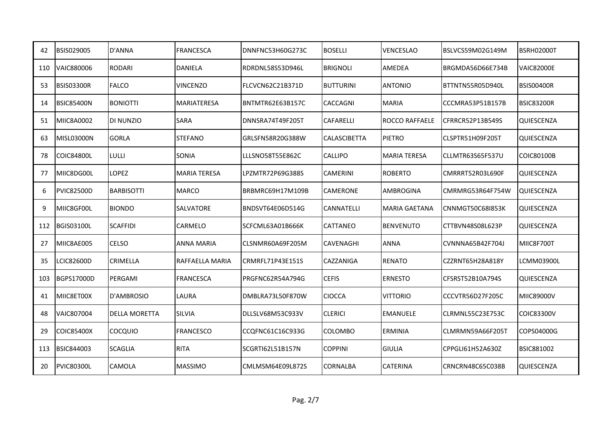| 42  | BSIS029005        | D'ANNA               | <b>FRANCESCA</b>    | DNNFNC53H60G273C | <b>BOSELLI</b>      | VENCESLAO             | BSLVCS59M02G149M  | BSRH02000T        |
|-----|-------------------|----------------------|---------------------|------------------|---------------------|-----------------------|-------------------|-------------------|
| 110 | <b>VAIC880006</b> | <b>RODARI</b>        | <b>DANIELA</b>      | RDRDNL58S53D946L | <b>BRIGNOLI</b>     | AMEDEA                | BRGMDA56D66E734B  | <b>VAIC82000E</b> |
| 53  | <b>BSIS03300R</b> | <b>FALCO</b>         | <b>VINCENZO</b>     | FLCVCN62C21B371D | <b>BUTTURINI</b>    | <b>ANTONIO</b>        | BTTNTN55R05D940L  | <b>BSIS00400R</b> |
| 14  | <b>BSIC85400N</b> | <b>BONIOTTI</b>      | MARIATERESA         | BNTMTR62E63B157C | <b>CACCAGNI</b>     | <b>MARIA</b>          | CCCMRA53P51B157B  | <b>BSIC83200R</b> |
| 51  | MIIC8A0002        | DI NUNZIO            | <b>SARA</b>         | DNNSRA74T49F205T | <b>CAFARELLI</b>    | <b>ROCCO RAFFAELE</b> | CFRRCR52P13B549S  | QUIESCENZA        |
| 63  | <b>MISL03000N</b> | <b>GORLA</b>         | <b>STEFANO</b>      | GRLSFN58R20G388W | <b>CALASCIBETTA</b> | <b>PIETRO</b>         | ICLSPTR51H09F205T | QUIESCENZA        |
| 78  | <b>COIC84800L</b> | LULLI                | SONIA               | LLLSNO58T55E862C | <b>CALLIPO</b>      | <b>MARIA TERESA</b>   | CLLMTR63S65F537U  | <b>COIC80100B</b> |
| 77  | MIIC8DG00L        | LOPEZ                | <b>MARIA TERESA</b> | LPZMTR72P69G388S | <b>CAMERINI</b>     | <b>ROBERTO</b>        | CMRRRT52R03L690F  | QUIESCENZA        |
| 6   | <b>PVIC82500D</b> | <b>BARBISOTTI</b>    | <b>MARCO</b>        | BRBMRC69H17M109B | CAMERONE            | <b>AMBROGINA</b>      | CMRMRG53R64F754W  | QUIESCENZA        |
| 9   | MIIC8GF00L        | <b>BIONDO</b>        | <b>SALVATORE</b>    | BNDSVT64E06D514G | <b>CANNATELLI</b>   | <b>MARIA GAETANA</b>  | CNNMGT50C68I853K  | QUIESCENZA        |
| 112 | <b>BGIS03100L</b> | <b>SCAFFIDI</b>      | <b>CARMELO</b>      | SCFCML63A01B666K | CATTANEO            | <b>BENVENUTO</b>      | CTTBVN48S08L623P  | QUIESCENZA        |
| 27  | MIIC8AE005        | <b>CELSO</b>         | <b>ANNA MARIA</b>   | CLSNMR60A69F205M | CAVENAGHI           | <b>ANNA</b>           | CVNNNA65B42F704J  | MIIC8F700T        |
| 35  | LCIC82600D        | CRIMELLA             | RAFFAELLA MARIA     | CRMRFL71P43E151S | CAZZANIGA           | <b>RENATO</b>         | CZZRNT65H28A818Y  | <b>LCMM03900L</b> |
| 103 | <b>BGPS17000D</b> | PERGAMI              | <b>FRANCESCA</b>    | PRGFNC62R54A794G | <b>CEFIS</b>        | <b>ERNESTO</b>        | CFSRST52B10A794S  | <b>QUIESCENZA</b> |
| 41  | MIIC8ET00X        | D'AMBROSIO           | LAURA               | DMBLRA73L50F870W | <b>CIOCCA</b>       | <b>VITTORIO</b>       | CCCVTR56D27F205C  | MIIC89000V        |
| 48  | VAIC807004        | <b>DELLA MORETTA</b> | <b>SILVIA</b>       | DLLSLV68M53C933V | <b>CLERICI</b>      | EMANUELE              | CLRMNL55C23E753C  | <b>COIC83300V</b> |
| 29  | COIC85400X        | <b>COCQUIO</b>       | <b>FRANCESCO</b>    | CCQFNC61C16C933G | <b>COLOMBO</b>      | <b>ERMINIA</b>        | CLMRMN59A66F205T  | COPS04000G        |
| 113 | <b>BSIC844003</b> | <b>SCAGLIA</b>       | <b>RITA</b>         | SCGRTI62L51B157N | <b>COPPINI</b>      | <b>GIULIA</b>         | CPPGLI61H52A630Z  | <b>BSIC881002</b> |
| 20  | <b>PVIC80300L</b> | <b>CAMOLA</b>        | <b>MASSIMO</b>      | CMLMSM64E09L872S | CORNALBA            | <b>CATERINA</b>       | CRNCRN48C65C038B  | QUIESCENZA        |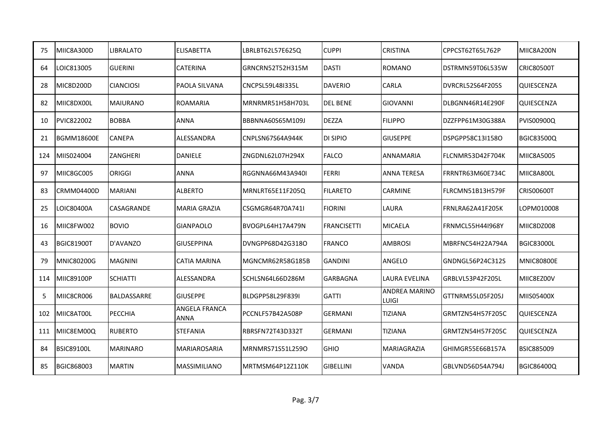| 75  | MIIC8A300D        | LIBRALATO          | <b>ELISABETTA</b>            | LBRLBT62L57E625Q        | <b>CUPPI</b>       | <b>CRISTINA</b>               | CPPCST62T65L762P | MIIC8A200N        |
|-----|-------------------|--------------------|------------------------------|-------------------------|--------------------|-------------------------------|------------------|-------------------|
| 64  | LOIC813005        | <b>GUERINI</b>     | <b>CATERINA</b>              | GRNCRN52T52H315M        | <b>DASTI</b>       | <b>ROMANO</b>                 | DSTRMN59T06L535W | <b>CRIC80500T</b> |
| 28  | MIC8D200D         | <b>CIANCIOSI</b>   | PAOLA SILVANA                | CNCPSL59L48I335L        | <b>DAVERIO</b>     | CARLA                         | DVRCRL52S64F205S | <b>QUIESCENZA</b> |
| 82  | MIIC8DX00L        | <b>MAIURANO</b>    | <b>ROAMARIA</b>              | MRNRMR51H58H703L        | <b>DEL BENE</b>    | <b>GIOVANNI</b>               | DLBGNN46R14E290F | QUIESCENZA        |
| 10  | PVIC822002        | <b>BOBBA</b>       | <b>ANNA</b>                  | BBBNNA60S65M109J        | <b>DEZZA</b>       | <b>FILIPPO</b>                | DZZFPP61M30G388A | PVIS00900Q        |
| 21  | <b>BGMM18600E</b> | <b>CANEPA</b>      | ALESSANDRA                   | CNPLSN67S64A944K        | DI SIPIO           | <b>GIUSEPPE</b>               | DSPGPP58C13I158O | <b>BGIC83500Q</b> |
| 124 | MIIS024004        | ZANGHERI           | <b>DANIELE</b>               | ZNGDNL62L07H294X        | <b>FALCO</b>       | <b>ANNAMARIA</b>              | FLCNMR53D42F704K | <b>MIIC8A5005</b> |
| 97  | MIIC8GC005        | ORIGGI             | <b>ANNA</b>                  | <b>RGGNNA66M43A940I</b> | <b>FERRI</b>       | <b>ANNA TERESA</b>            | FRRNTR63M60E734C | MIIC8A800L        |
| 83  | <b>CRMM04400D</b> | <b>MARIANI</b>     | <b>ALBERTO</b>               | MRNLRT65E11F205Q        | <b>FILARETO</b>    | <b>CARMINE</b>                | FLRCMN51B13H579F | <b>CRIS00600T</b> |
| 25  | LOIC80400A        | CASAGRANDE         | MARIA GRAZIA                 | CSGMGR64R70A741I        | <b>FIORINI</b>     | <b>LAURA</b>                  | FRNLRA62A41F205K | LOPM010008        |
| 16  | MIIC8FW002        | <b>BOVIO</b>       | <b>GIANPAOLO</b>             | BVOGPL64H17A479N        | <b>FRANCISETTI</b> | <b>MICAELA</b>                | FRNMCL55H44I968Y | MIIC8DZ008        |
| 43  | <b>BGIC81900T</b> | D'AVANZO           | <b>GIUSEPPINA</b>            | DVNGPP68D42G318O        | <b>FRANCO</b>      | <b>AMBROSI</b>                | MBRFNC54H22A794A | <b>BGIC83000L</b> |
| 79  | MNIC80200G        | <b>MAGNINI</b>     | <b>CATIA MARINA</b>          | MGNCMR62R58G185B        | <b>GANDINI</b>     | ANGELO                        | GNDNGL56P24C312S | <b>MNIC80800E</b> |
| 114 | <b>MIIC89100P</b> | <b>SCHIATTI</b>    | ALESSANDRA                   | SCHLSN64L66D286M        | GARBAGNA           | LAURA EVELINA                 | GRBLVL53P42F205L | MIIC8EZ00V        |
| 5   | MIIC8CR006        | <b>BALDASSARRE</b> | <b>GIUSEPPE</b>              | BLDGPP58L29F839I        | <b>GATTI</b>       | <b>ANDREA MARINO</b><br>LUIGI | GTTNRM55L05F205J | <b>MIIS05400X</b> |
| 102 | MIIC8AT00L        | PECCHIA            | ANGELA FRANCA<br><b>ANNA</b> | PCCNLF57B42A508P        | <b>GERMANI</b>     | <b>TIZIANA</b>                | GRMTZN54H57F205C | QUIESCENZA        |
| 111 | MIIC8EM00Q        | <b>RUBERTO</b>     | <b>STEFANIA</b>              | RBRSFN72T43D332T        | <b>GERMANI</b>     | <b>TIZIANA</b>                | GRMTZN54H57F205C | QUIESCENZA        |
| 84  | <b>BSIC89100L</b> | <b>MARINARO</b>    | MARIAROSARIA                 | MRNMRS71S51L259O        | <b>GHIO</b>        | MARIAGRAZIA                   | GHIMGR55E66B157A | <b>BSIC885009</b> |
| 85  | BGIC868003        | <b>MARTIN</b>      | <b>MASSIMILIANO</b>          | MRTMSM64P12Z110K        | <b>GIBELLINI</b>   | VANDA                         | GBLVND56D54A794J | <b>BGIC86400Q</b> |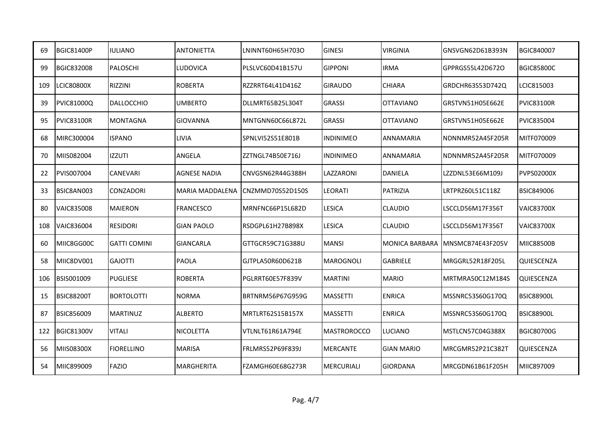| 69  | <b>BGIC81400P</b> | <b>IULIANO</b>      | <b>ANTONIETTA</b>      | LNINNT60H65H703O        | <b>GINESI</b>      | VIRGINIA              | GNSVGN62D61B393N | <b>BGIC840007</b> |
|-----|-------------------|---------------------|------------------------|-------------------------|--------------------|-----------------------|------------------|-------------------|
| 99  | BGIC832008        | <b>PALOSCHI</b>     | <b>LUDOVICA</b>        | PLSLVC60D41B157U        | <b>GIPPONI</b>     | <b>IRMA</b>           | GPPRGS55L42D672O | <b>BGIC85800C</b> |
| 109 | <b>LCIC80800X</b> | <b>RIZZINI</b>      | <b>ROBERTA</b>         | RZZRRT64L41D416Z        | <b>GIRAUDO</b>     | <b>CHIARA</b>         | GRDCHR63S53D742Q | LCIC815003        |
| 39  | PVIC81000Q        | <b>DALLOCCHIO</b>   | <b>UMBERTO</b>         | DLLMRT65B25L304T        | <b>GRASSI</b>      | <b>OTTAVIANO</b>      | GRSTVN51H05E662E | <b>PVIC83100R</b> |
| 95  | <b>PVIC83100R</b> | <b>MONTAGNA</b>     | <b>GIOVANNA</b>        | MNTGNN60C66L872L        | <b>GRASSI</b>      | <b>OTTAVIANO</b>      | GRSTVN51H05E662E | PVIC835004        |
| 68  | MIRC300004        | <b>ISPANO</b>       | <b>LIVIA</b>           | SPNLVI52S51E801B        | <b>INDINIMEO</b>   | <b>ANNAMARIA</b>      | NDNNMR52A45F205R | MITF070009        |
| 70  | MIIS082004        | <b>IZZUTI</b>       | ANGELA                 | ZZTNGL74B50E716J        | <b>INDINIMEO</b>   | <b>ANNAMARIA</b>      | NDNNMR52A45F205R | MITF070009        |
| 22  | PVIS007004        | <b>CANEVARI</b>     | <b>AGNESE NADIA</b>    | CNVGSN62R44G388H        | LAZZARONI          | <b>DANIELA</b>        | LZZDNL53E66M109J | <b>PVPS02000X</b> |
| 33  | BSIC8AN003        | <b>CONZADORI</b>    | <b>MARIA MADDALENA</b> | CNZMMD70S52D150S        | <b>LEORATI</b>     | <b>PATRIZIA</b>       | LRTPRZ60L51C118Z | <b>BSIC849006</b> |
| 80  | <b>VAIC835008</b> | <b>MAIERON</b>      | <b>FRANCESCO</b>       | MRNFNC66P15L682D        | <b>LESICA</b>      | <b>CLAUDIO</b>        | LSCCLD56M17F356T | <b>VAIC83700X</b> |
| 108 | VAIC836004        | <b>RESIDORI</b>     | <b>GIAN PAOLO</b>      | RSDGPL61H27B898X        | <b>LESICA</b>      | <b>CLAUDIO</b>        | LSCCLD56M17F356T | <b>VAIC83700X</b> |
| 60  | MIIC8GG00C        | <b>GATTI COMINI</b> | <b>GIANCARLA</b>       | GTTGCR59C71G388U        | <b>MANSI</b>       | <b>MONICA BARBARA</b> | MNSMCB74E43F205V | <b>MIIC88500B</b> |
| 58  | MIIC8DV001        | <b>GAJOTTI</b>      | PAOLA                  | GJTPLA50R60D621B        | <b>MAROGNOLI</b>   | <b>GABRIELE</b>       | MRGGRL52R18F205L | QUIESCENZA        |
| 106 | BSIS001009        | <b>PUGLIESE</b>     | <b>ROBERTA</b>         | PGLRRT60E57F839V        | <b>MARTINI</b>     | <b>MARIO</b>          | MRTMRA50C12M184S | QUIESCENZA        |
| 15  | <b>BSIC88200T</b> | <b>BORTOLOTTI</b>   | <b>NORMA</b>           | BRTNRM56P67G959G        | <b>MASSETTI</b>    | <b>ENRICA</b>         | MSSNRC53S60G170Q | <b>BSIC88900L</b> |
| 87  | BSIC856009        | <b>MARTINUZ</b>     | <b>ALBERTO</b>         | MRTLRT62S15B157X        | <b>MASSETTI</b>    | <b>ENRICA</b>         | MSSNRC53S60G170Q | <b>BSIC88900L</b> |
| 122 | <b>BGIC81300V</b> | <b>VITALI</b>       | NICOLETTA              | VTLNLT61R61A794E        | <b>MASTROROCCO</b> | <b>LUCIANO</b>        | MSTLCN57C04G388X | <b>BGIC80700G</b> |
| 56  | MIIS08300X        | <b>FIORELLINO</b>   | <b>MARISA</b>          | <b>FRLMRS52P69F839J</b> | <b>MERCANTE</b>    | <b>GIAN MARIO</b>     | MRCGMR52P21C382T | <b>QUIESCENZA</b> |
| 54  | MIIC899009        | FAZIO               | MARGHERITA             | FZAMGH60E68G273R        | <b>MERCURIALI</b>  | <b>GIORDANA</b>       | MRCGDN61B61F205H | MIIC897009        |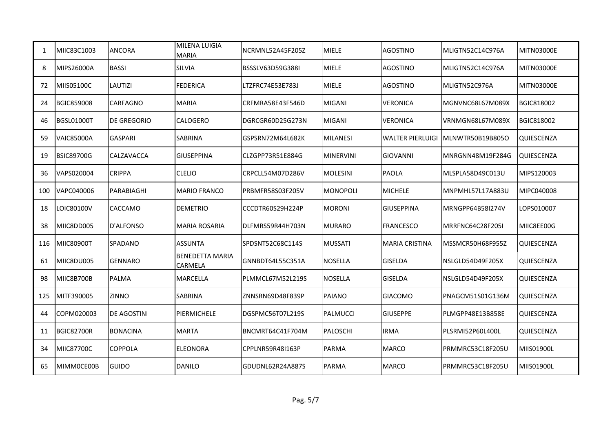| 1   | MIIC83C1003       | ANCORA             | <b>MILENA LUIGIA</b><br><b>MARIA</b> | NCRMNL52A45F205Z        | <b>MIELE</b>     | <b>AGOSTINO</b>         | MLIGTN52C14C976A | <b>MITN03000E</b> |
|-----|-------------------|--------------------|--------------------------------------|-------------------------|------------------|-------------------------|------------------|-------------------|
| 8   | MIPS26000A        | <b>BASSI</b>       | SILVIA                               | <b>BSSSLV63D59G388I</b> | <b>MIELE</b>     | <b>AGOSTINO</b>         | MLIGTN52C14C976A | MITN03000E        |
| 72  | <b>MIIS05100C</b> | <b>LAUTIZI</b>     | <b>FEDERICA</b>                      | LTZFRC74E53E783J        | <b>MIELE</b>     | <b>AGOSTINO</b>         | MLIGTN52C976A    | MITN03000E        |
| 24  | <b>BGIC859008</b> | <b>CARFAGNO</b>    | <b>MARIA</b>                         | CRFMRA58E43F546D        | <b>MIGANI</b>    | <b>VERONICA</b>         | MGNVNC68L67M089X | BGIC818002        |
| 46  | BGSL01000T        | <b>DE GREGORIO</b> | <b>CALOGERO</b>                      | DGRCGR60D25G273N        | <b>MIGANI</b>    | <b>VERONICA</b>         | VRNMGN68L67M089X | BGIC818002        |
| 59  | <b>VAIC85000A</b> | <b>GASPARI</b>     | <b>SABRINA</b>                       | GSPSRN72M64L682K        | <b>MILANESI</b>  | <b>WALTER PIERLUIGI</b> | MLNWTR50B19B805O | QUIESCENZA        |
| 19  | <b>BSIC89700G</b> | CALZAVACCA         | <b>GIUSEPPINA</b>                    | CLZGPP73R51E884G        | <b>MINERVINI</b> | <b>GIOVANNI</b>         | MNRGNN48M19F284G | QUIESCENZA        |
| 36  | VAPS020004        | <b>CRIPPA</b>      | <b>CLELIO</b>                        | CRPCLL54M07D286V        | <b>MOLESINI</b>  | <b>PAOLA</b>            | MLSPLA58D49C013U | MIPS120003        |
| 100 | VAPC040006        | PARABIAGHI         | <b>MARIO FRANCO</b>                  | PRBMFR58S03F205V        | <b>MONOPOLI</b>  | <b>MICHELE</b>          | MNPMHL57L17A883U | MIPC040008        |
| 18  | LOIC80100V        | CACCAMO            | <b>DEMETRIO</b>                      | CCCDTR60S29H224P        | <b>MORONI</b>    | <b>GIUSEPPINA</b>       | MRNGPP64B58I274V | LOPS010007        |
| 38  | MIIC8DD005        | D'ALFONSO          | <b>MARIA ROSARIA</b>                 | DLFMRS59R44H703N        | <b>MURARO</b>    | <b>FRANCESCO</b>        | MRRFNC64C28F205I | MIIC8EE00G        |
| 116 | MIIC80900T        | SPADANO            | <b>ASSUNTA</b>                       | SPDSNT52C68C114S        | <b>MUSSATI</b>   | <b>MARIA CRISTINA</b>   | MSSMCR50H68F955Z | QUIESCENZA        |
| 61  | MIIC8DU005        | <b>GENNARO</b>     | <b>BENEDETTA MARIA</b><br>CARMELA    | GNNBDT64L55C351A        | <b>NOSELLA</b>   | <b>GISELDA</b>          | NSLGLD54D49F205X | QUIESCENZA        |
| 98  | MIIC8B700B        | PALMA              | MARCELLA                             | PLMMCL67M52L219S        | NOSELLA          | <b>GISELDA</b>          | NSLGLD54D49F205X | QUIESCENZA        |
| 125 | MITF390005        | <b>ZINNO</b>       | SABRINA                              | ZNNSRN69D48F839P        | PAIANO           | <b>GIACOMO</b>          | PNAGCM51S01G136M | <b>QUIESCENZA</b> |
| 44  | COPM020003        | DE AGOSTINI        | PIERMICHELE                          | DGSPMC56T07L219S        | PALMUCCI         | <b>GIUSEPPE</b>         | PLMGPP48E13B858E | QUIESCENZA        |
| 11  | <b>BGIC82700R</b> | <b>BONACINA</b>    | <b>MARTA</b>                         | BNCMRT64C41F704M        | PALOSCHI         | <b>IRMA</b>             | PLSRMI52P60L400L | QUIESCENZA        |
| 34  | <b>MIIC87700C</b> | <b>COPPOLA</b>     | <b>ELEONORA</b>                      | CPPLNR59R48I163P        | <b>PARMA</b>     | <b>MARCO</b>            | PRMMRC53C18F205U | MIIS01900L        |
| 65  | MIMM0CE00B        | GUIDO              | <b>DANILO</b>                        | GDUDNL62R24A887S        | <b>PARMA</b>     | <b>MARCO</b>            | PRMMRC53C18F205U | MIIS01900L        |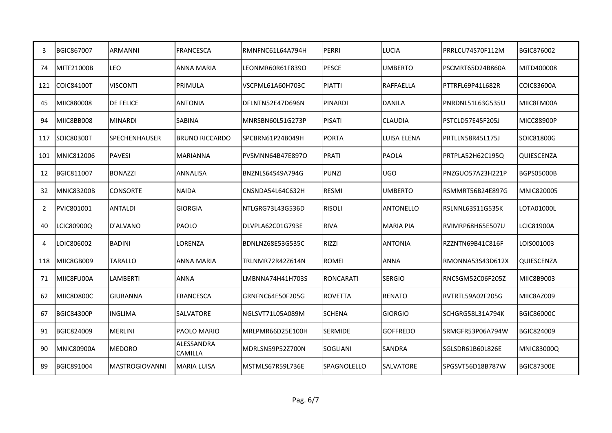| 3   | BGIC867007        | <b>ARMANNI</b>        | <b>FRANCESCA</b>      | RMNFNC61L64A794H | PERRI              | LUCIA            | PRRLCU74S70F112M | BGIC876002        |
|-----|-------------------|-----------------------|-----------------------|------------------|--------------------|------------------|------------------|-------------------|
| 74  | MITF21000B        | <b>LEO</b>            | ANNA MARIA            | LEONMR60R61F839O | <b>PESCE</b>       | <b>UMBERTO</b>   | PSCMRT65D24B860A | MITD400008        |
| 121 | COIC84100T        | <b>VISCONTI</b>       | PRIMULA               | VSCPML61A60H703C | <b>PIATTI</b>      | <b>RAFFAELLA</b> | PTTRFL69P41L682R | <b>COIC83600A</b> |
| 45  | MIIC880008        | <b>DE FELICE</b>      | <b>ANTONIA</b>        | DFLNTN52E47D696N | <b>PINARDI</b>     | <b>DANILA</b>    | PNRDNL51L63G535U | MIIC8FM00A        |
| 94  | MIIC8BB008        | <b>MINARDI</b>        | <b>SABINA</b>         | MNRSBN60L51G273P | <b>PISATI</b>      | <b>CLAUDIA</b>   | PSTCLD57E45F205J | <b>MICC88900P</b> |
| 117 | SOIC80300T        | <b>SPECHENHAUSER</b>  | <b>BRUNO RICCARDO</b> | SPCBRN61P24B049H | <b>PORTA</b>       | LUISA ELENA      | PRTLLN58R45L175J | SOIC81800G        |
| 101 | MNIC812006        | <b>PAVESI</b>         | <b>MARIANNA</b>       | PVSMNN64B47E897O | <b>PRATI</b>       | <b>PAOLA</b>     | PRTPLA52H62C195Q | QUIESCENZA        |
| 12  | BGIC811007        | <b>BONAZZI</b>        | <b>ANNALISA</b>       | BNZNLS64S49A794G | <b>PUNZI</b>       | <b>UGO</b>       | PNZGUO57A23H221P | <b>BGPS05000B</b> |
| 32  | <b>MNIC83200B</b> | <b>CONSORTE</b>       | <b>NAIDA</b>          | CNSNDA54L64C632H | <b>RESMI</b>       | <b>UMBERTO</b>   | RSMMRT56B24E897G | MNIC820005        |
| 2   | PVIC801001        | <b>ANTALDI</b>        | <b>GIORGIA</b>        | NTLGRG73L43G536D | <b>RISOLI</b>      | <b>ANTONELLO</b> | RSLNNL63S11G535K | LOTA01000L        |
| 40  | LCIC80900Q        | D'ALVANO              | <b>PAOLO</b>          | DLVPLA62C01G793E | <b>RIVA</b>        | <b>MARIA PIA</b> | RVIMRP68H65E507U | <b>LCIC81900A</b> |
| 4   | LOIC806002        | <b>BADINI</b>         | LORENZA               | BDNLNZ68E53G535C | <b>RIZZI</b>       | <b>ANTONIA</b>   | RZZNTN69B41C816F | LOIS001003        |
| 118 | MIIC8GB009        | TARALLO               | <b>ANNA MARIA</b>     | TRLNMR72R42Z614N | <b>ROMEI</b>       | <b>ANNA</b>      | RMONNA53S43D612X | QUIESCENZA        |
| 71  | MIIC8FU00A        | LAMBERTI              | <b>ANNA</b>           | LMBNNA74H41H703S | <b>RONCARATI</b>   | <b>SERGIO</b>    | RNCSGM52C06F205Z | MIIC8B9003        |
| 62  | MIIC8D800C        | <b>GIURANNA</b>       | <b>FRANCESCA</b>      | GRNFNC64E50F205G | <b>ROVETTA</b>     | <b>RENATO</b>    | RVTRTL59A02F205G | MIIC8AZ009        |
| 67  | <b>BGIC84300P</b> | <b>INGLIMA</b>        | SALVATORE             | NGLSVT71L05A089M | <b>SCHENA</b>      | <b>GIORGIO</b>   | SCHGRG58L31A794K | <b>BGIC86000C</b> |
| 91  | BGIC824009        | <b>MERLINI</b>        | <b>PAOLO MARIO</b>    | MRLPMR66D25E100H | <b>SERMIDE</b>     | <b>GOFFREDO</b>  | SRMGFR53P06A794W | BGIC824009        |
| 90  | <b>MNIC80900A</b> | <b>MEDORO</b>         | ALESSANDRA<br>CAMILLA | MDRLSN59P52Z700N | SOGLIANI           | SANDRA           | SGLSDR61B60L826E | <b>MNIC83000Q</b> |
| 89  | BGIC891004        | <b>MASTROGIOVANNI</b> | <b>MARIA LUISA</b>    | MSTMLS67R59L736E | <b>SPAGNOLELLO</b> | <b>SALVATORE</b> | SPGSVT56D18B787W | <b>BGIC87300E</b> |